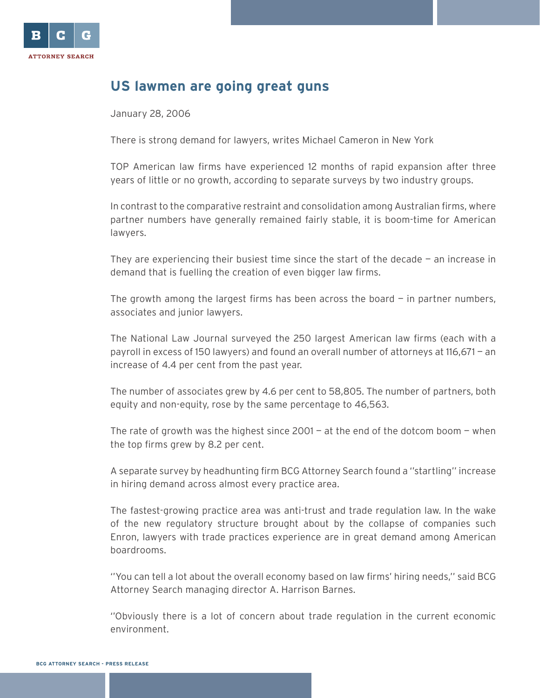

## **US lawmen are going great guns**

January 28, 2006

There is strong demand for lawyers, writes Michael Cameron in New York

TOP American law firms have experienced 12 months of rapid expansion after three years of little or no growth, according to separate surveys by two industry groups.

In contrast to the comparative restraint and consolidation among Australian firms, where partner numbers have generally remained fairly stable, it is boom-time for American lawyers.

They are experiencing their busiest time since the start of the decade  $-$  an increase in demand that is fuelling the creation of even bigger law firms.

The growth among the largest firms has been across the board  $-$  in partner numbers, associates and junior lawyers.

The National Law Journal surveyed the 250 largest American law firms (each with a payroll in excess of 150 lawyers) and found an overall number of attorneys at 116,671 — an increase of 4.4 per cent from the past year.

The number of associates grew by 4.6 per cent to 58,805. The number of partners, both equity and non-equity, rose by the same percentage to 46,563.

The rate of growth was the highest since  $2001 - at$  the end of the dotcom boom  $-$  when the top firms grew by 8.2 per cent.

A separate survey by headhunting firm BCG Attorney Search found a ''startling'' increase in hiring demand across almost every practice area.

The fastest-growing practice area was anti-trust and trade regulation law. In the wake of the new regulatory structure brought about by the collapse of companies such Enron, lawyers with trade practices experience are in great demand among American boardrooms.

''You can tell a lot about the overall economy based on law firms' hiring needs,'' said BCG Attorney Search managing director A. Harrison Barnes.

''Obviously there is a lot of concern about trade regulation in the current economic environment.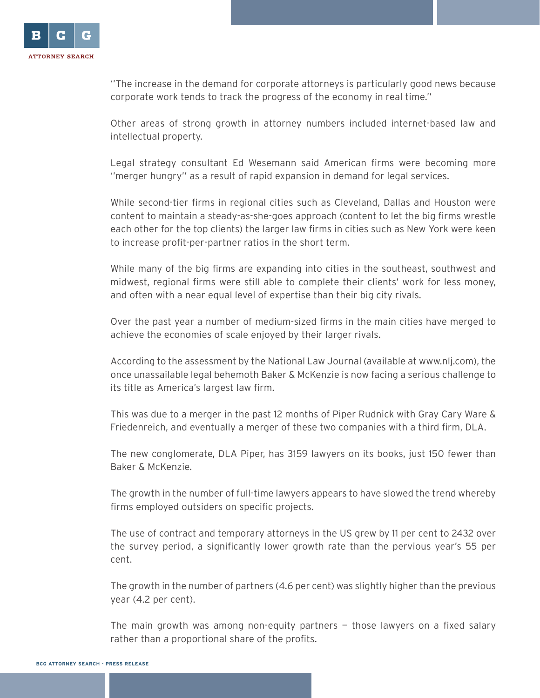

''The increase in the demand for corporate attorneys is particularly good news because corporate work tends to track the progress of the economy in real time.''

Other areas of strong growth in attorney numbers included internet-based law and intellectual property.

Legal strategy consultant Ed Wesemann said American firms were becoming more ''merger hungry'' as a result of rapid expansion in demand for legal services.

While second-tier firms in regional cities such as Cleveland, Dallas and Houston were content to maintain a steady-as-she-goes approach (content to let the big firms wrestle each other for the top clients) the larger law firms in cities such as New York were keen to increase profit-per-partner ratios in the short term.

While many of the big firms are expanding into cities in the southeast, southwest and midwest, regional firms were still able to complete their clients' work for less money, and often with a near equal level of expertise than their big city rivals.

Over the past year a number of medium-sized firms in the main cities have merged to achieve the economies of scale enjoyed by their larger rivals.

According to the assessment by the National Law Journal (available at www.nlj.com), the once unassailable legal behemoth Baker & McKenzie is now facing a serious challenge to its title as America's largest law firm.

This was due to a merger in the past 12 months of Piper Rudnick with Gray Cary Ware & Friedenreich, and eventually a merger of these two companies with a third firm, DLA.

The new conglomerate, DLA Piper, has 3159 lawyers on its books, just 150 fewer than Baker & McKenzie.

The growth in the number of full-time lawyers appears to have slowed the trend whereby firms employed outsiders on specific projects.

The use of contract and temporary attorneys in the US grew by 11 per cent to 2432 over the survey period, a significantly lower growth rate than the pervious year's 55 per cent.

The growth in the number of partners (4.6 per cent) was slightly higher than the previous year (4.2 per cent).

The main growth was among non-equity partners  $-$  those lawyers on a fixed salary rather than a proportional share of the profits.